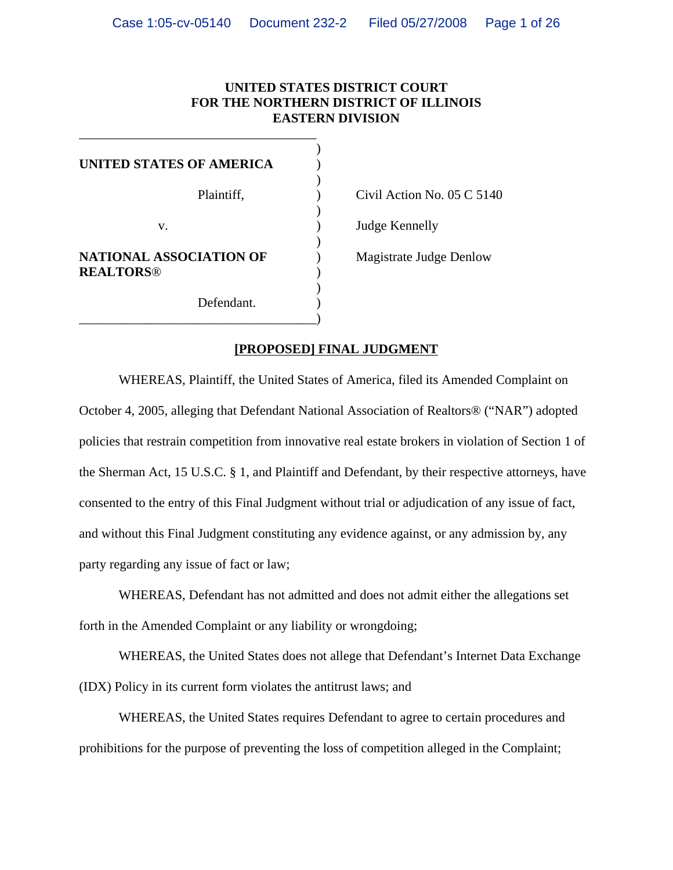#### **UNITED STATES DISTRICT COURT FOR THE NORTHERN DISTRICT OF ILLINOIS EASTERN DIVISION**

| UNITED STATES OF AMERICA                           |                                |
|----------------------------------------------------|--------------------------------|
| Plaintiff,                                         | Civil Action No. 05 C 5140     |
| V.                                                 | Judge Kennelly                 |
| <b>NATIONAL ASSOCIATION OF</b><br><b>REALTORS®</b> | <b>Magistrate Judge Denlow</b> |
| Defendant.                                         |                                |

\_\_\_\_\_\_\_\_\_\_\_\_\_\_\_\_\_\_\_\_\_\_\_\_\_\_\_\_\_\_\_\_\_\_\_\_

## **[PROPOSED] FINAL JUDGMENT**

WHEREAS, Plaintiff, the United States of America, filed its Amended Complaint on October 4, 2005, alleging that Defendant National Association of Realtors® ("NAR") adopted policies that restrain competition from innovative real estate brokers in violation of Section 1 of the Sherman Act, 15 U.S.C. § 1, and Plaintiff and Defendant, by their respective attorneys, have consented to the entry of this Final Judgment without trial or adjudication of any issue of fact, and without this Final Judgment constituting any evidence against, or any admission by, any party regarding any issue of fact or law;

WHEREAS, Defendant has not admitted and does not admit either the allegations set forth in the Amended Complaint or any liability or wrongdoing;

WHEREAS, the United States does not allege that Defendant's Internet Data Exchange (IDX) Policy in its current form violates the antitrust laws; and

WHEREAS, the United States requires Defendant to agree to certain procedures and prohibitions for the purpose of preventing the loss of competition alleged in the Complaint;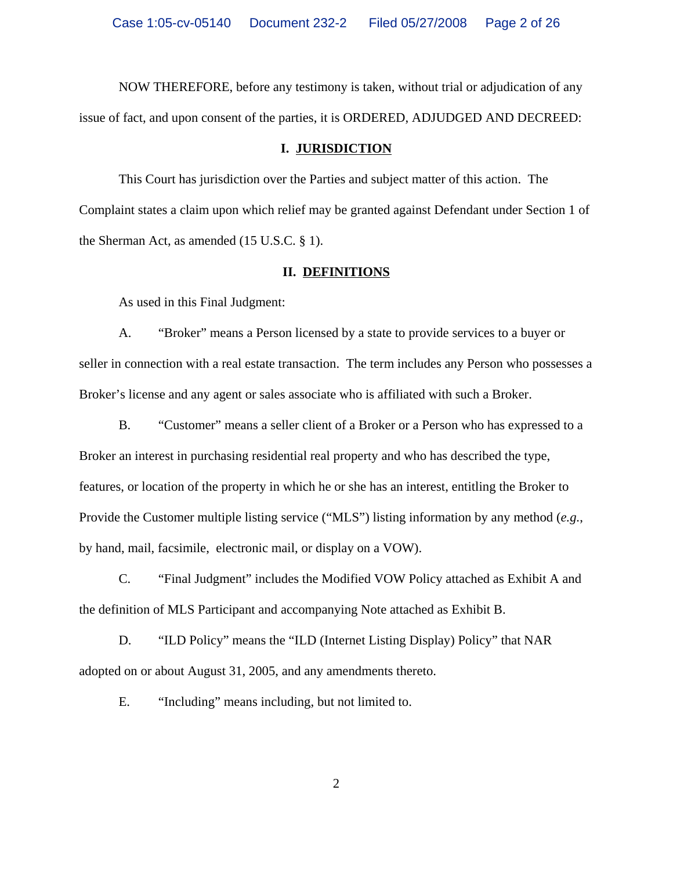NOW THEREFORE, before any testimony is taken, without trial or adjudication of any issue of fact, and upon consent of the parties, it is ORDERED, ADJUDGED AND DECREED:

#### **I. JURISDICTION**

This Court has jurisdiction over the Parties and subject matter of this action. The Complaint states a claim upon which relief may be granted against Defendant under Section 1 of the Sherman Act, as amended (15 U.S.C. § 1).

#### **II. DEFINITIONS**

As used in this Final Judgment:

A. "Broker" means a Person licensed by a state to provide services to a buyer or seller in connection with a real estate transaction. The term includes any Person who possesses a Broker's license and any agent or sales associate who is affiliated with such a Broker.

B. "Customer" means a seller client of a Broker or a Person who has expressed to a Broker an interest in purchasing residential real property and who has described the type, features, or location of the property in which he or she has an interest, entitling the Broker to Provide the Customer multiple listing service ("MLS") listing information by any method (*e.g.*, by hand, mail, facsimile, electronic mail, or display on a VOW).

C. "Final Judgment" includes the Modified VOW Policy attached as Exhibit A and the definition of MLS Participant and accompanying Note attached as Exhibit B.

D. "ILD Policy" means the "ILD (Internet Listing Display) Policy" that NAR adopted on or about August 31, 2005, and any amendments thereto.

E. "Including" means including, but not limited to.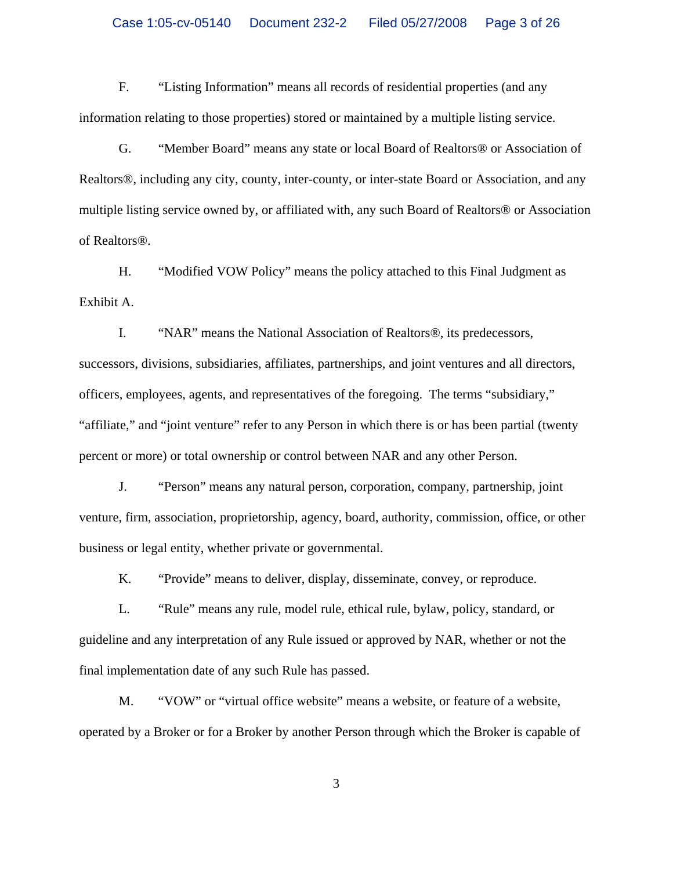F. "Listing Information" means all records of residential properties (and any information relating to those properties) stored or maintained by a multiple listing service.

G. "Member Board" means any state or local Board of Realtors® or Association of Realtors®, including any city, county, inter-county, or inter-state Board or Association, and any multiple listing service owned by, or affiliated with, any such Board of Realtors® or Association of Realtors®.

H. "Modified VOW Policy" means the policy attached to this Final Judgment as Exhibit A.

I. "NAR" means the National Association of Realtors®, its predecessors, successors, divisions, subsidiaries, affiliates, partnerships, and joint ventures and all directors, officers, employees, agents, and representatives of the foregoing. The terms "subsidiary," "affiliate," and "joint venture" refer to any Person in which there is or has been partial (twenty percent or more) or total ownership or control between NAR and any other Person.

J. "Person" means any natural person, corporation, company, partnership, joint venture, firm, association, proprietorship, agency, board, authority, commission, office, or other business or legal entity, whether private or governmental.

K. "Provide" means to deliver, display, disseminate, convey, or reproduce.

L. "Rule" means any rule, model rule, ethical rule, bylaw, policy, standard, or guideline and any interpretation of any Rule issued or approved by NAR, whether or not the final implementation date of any such Rule has passed.

M. "VOW" or "virtual office website" means a website, or feature of a website, operated by a Broker or for a Broker by another Person through which the Broker is capable of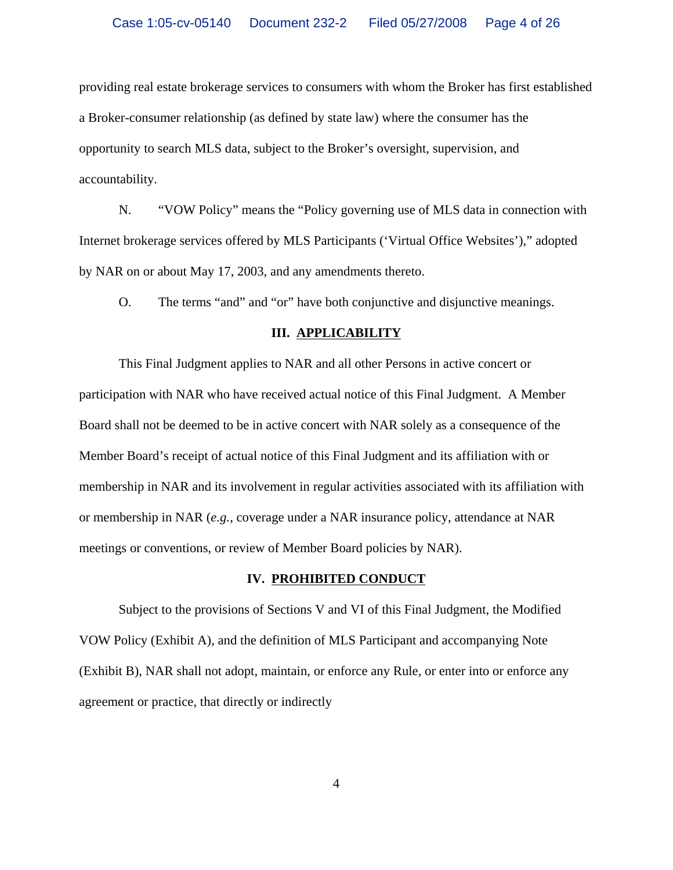providing real estate brokerage services to consumers with whom the Broker has first established a Broker-consumer relationship (as defined by state law) where the consumer has the opportunity to search MLS data, subject to the Broker's oversight, supervision, and accountability.

N. "VOW Policy" means the "Policy governing use of MLS data in connection with Internet brokerage services offered by MLS Participants ('Virtual Office Websites')," adopted by NAR on or about May 17, 2003, and any amendments thereto.

O. The terms "and" and "or" have both conjunctive and disjunctive meanings.

#### **III. APPLICABILITY**

This Final Judgment applies to NAR and all other Persons in active concert or participation with NAR who have received actual notice of this Final Judgment. A Member Board shall not be deemed to be in active concert with NAR solely as a consequence of the Member Board's receipt of actual notice of this Final Judgment and its affiliation with or membership in NAR and its involvement in regular activities associated with its affiliation with or membership in NAR (*e.g.*, coverage under a NAR insurance policy, attendance at NAR meetings or conventions, or review of Member Board policies by NAR).

#### **IV. PROHIBITED CONDUCT**

Subject to the provisions of Sections V and VI of this Final Judgment, the Modified VOW Policy (Exhibit A), and the definition of MLS Participant and accompanying Note (Exhibit B), NAR shall not adopt, maintain, or enforce any Rule, or enter into or enforce any agreement or practice, that directly or indirectly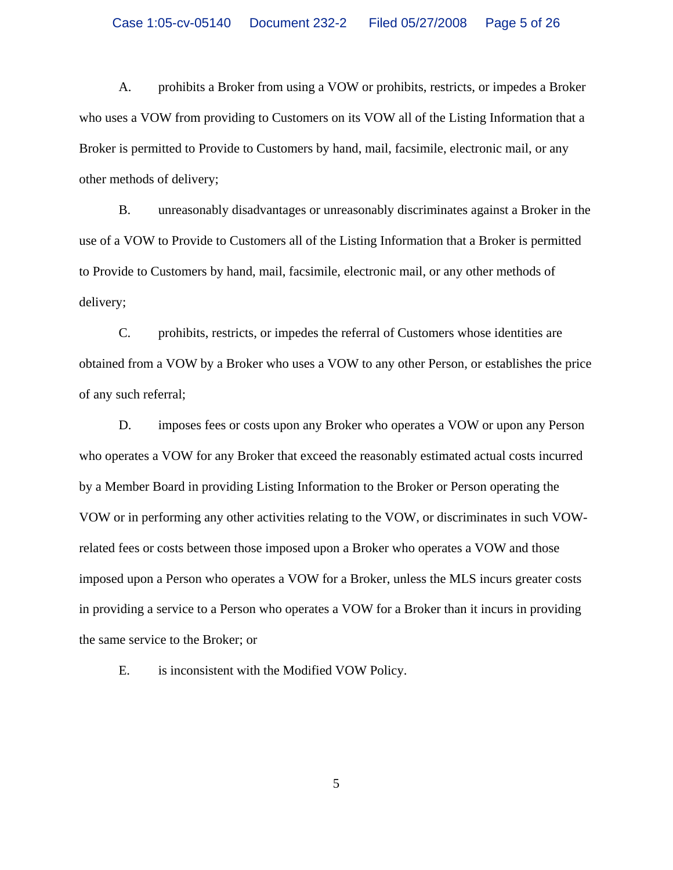A. prohibits a Broker from using a VOW or prohibits, restricts, or impedes a Broker who uses a VOW from providing to Customers on its VOW all of the Listing Information that a Broker is permitted to Provide to Customers by hand, mail, facsimile, electronic mail, or any other methods of delivery;

B. unreasonably disadvantages or unreasonably discriminates against a Broker in the use of a VOW to Provide to Customers all of the Listing Information that a Broker is permitted to Provide to Customers by hand, mail, facsimile, electronic mail, or any other methods of delivery;

C. prohibits, restricts, or impedes the referral of Customers whose identities are obtained from a VOW by a Broker who uses a VOW to any other Person, or establishes the price of any such referral;

D. imposes fees or costs upon any Broker who operates a VOW or upon any Person who operates a VOW for any Broker that exceed the reasonably estimated actual costs incurred by a Member Board in providing Listing Information to the Broker or Person operating the VOW or in performing any other activities relating to the VOW, or discriminates in such VOWrelated fees or costs between those imposed upon a Broker who operates a VOW and those imposed upon a Person who operates a VOW for a Broker, unless the MLS incurs greater costs in providing a service to a Person who operates a VOW for a Broker than it incurs in providing the same service to the Broker; or

E. is inconsistent with the Modified VOW Policy.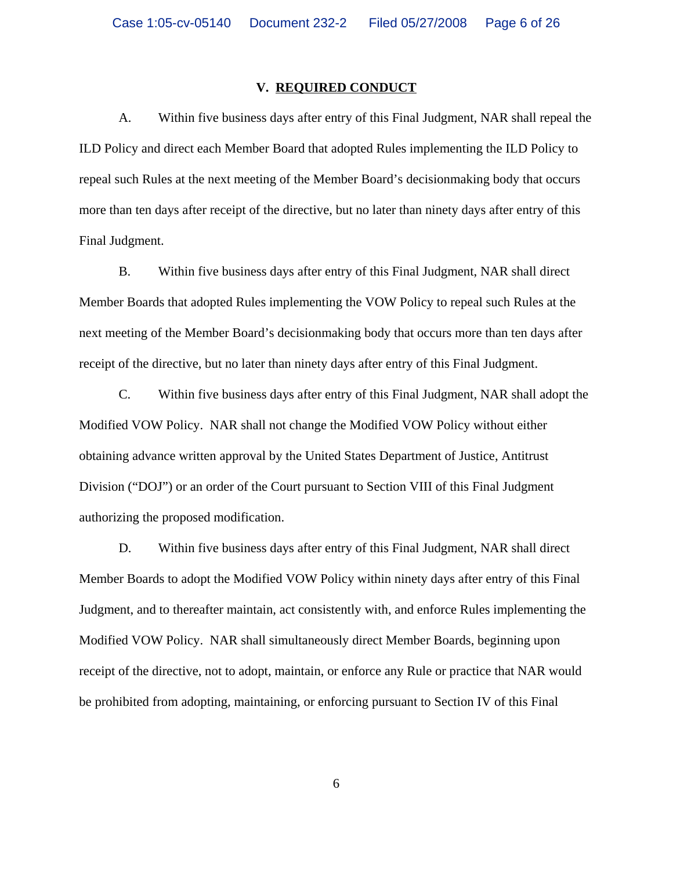#### **V. REQUIRED CONDUCT**

A. Within five business days after entry of this Final Judgment, NAR shall repeal the ILD Policy and direct each Member Board that adopted Rules implementing the ILD Policy to repeal such Rules at the next meeting of the Member Board's decisionmaking body that occurs more than ten days after receipt of the directive, but no later than ninety days after entry of this Final Judgment.

B. Within five business days after entry of this Final Judgment, NAR shall direct Member Boards that adopted Rules implementing the VOW Policy to repeal such Rules at the next meeting of the Member Board's decisionmaking body that occurs more than ten days after receipt of the directive, but no later than ninety days after entry of this Final Judgment.

C. Within five business days after entry of this Final Judgment, NAR shall adopt the Modified VOW Policy. NAR shall not change the Modified VOW Policy without either obtaining advance written approval by the United States Department of Justice, Antitrust Division ("DOJ") or an order of the Court pursuant to Section VIII of this Final Judgment authorizing the proposed modification.

D. Within five business days after entry of this Final Judgment, NAR shall direct Member Boards to adopt the Modified VOW Policy within ninety days after entry of this Final Judgment, and to thereafter maintain, act consistently with, and enforce Rules implementing the Modified VOW Policy. NAR shall simultaneously direct Member Boards, beginning upon receipt of the directive, not to adopt, maintain, or enforce any Rule or practice that NAR would be prohibited from adopting, maintaining, or enforcing pursuant to Section IV of this Final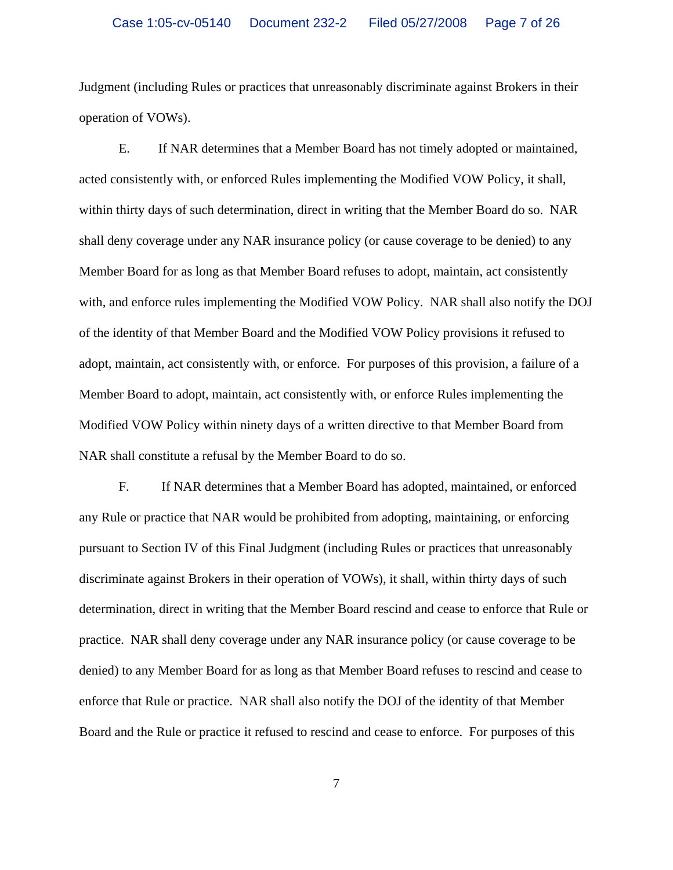Judgment (including Rules or practices that unreasonably discriminate against Brokers in their operation of VOWs).

E. If NAR determines that a Member Board has not timely adopted or maintained, acted consistently with, or enforced Rules implementing the Modified VOW Policy, it shall, within thirty days of such determination, direct in writing that the Member Board do so. NAR shall deny coverage under any NAR insurance policy (or cause coverage to be denied) to any Member Board for as long as that Member Board refuses to adopt, maintain, act consistently with, and enforce rules implementing the Modified VOW Policy. NAR shall also notify the DOJ of the identity of that Member Board and the Modified VOW Policy provisions it refused to adopt, maintain, act consistently with, or enforce. For purposes of this provision, a failure of a Member Board to adopt, maintain, act consistently with, or enforce Rules implementing the Modified VOW Policy within ninety days of a written directive to that Member Board from NAR shall constitute a refusal by the Member Board to do so.

F. If NAR determines that a Member Board has adopted, maintained, or enforced any Rule or practice that NAR would be prohibited from adopting, maintaining, or enforcing pursuant to Section IV of this Final Judgment (including Rules or practices that unreasonably discriminate against Brokers in their operation of VOWs), it shall, within thirty days of such determination, direct in writing that the Member Board rescind and cease to enforce that Rule or practice. NAR shall deny coverage under any NAR insurance policy (or cause coverage to be denied) to any Member Board for as long as that Member Board refuses to rescind and cease to enforce that Rule or practice. NAR shall also notify the DOJ of the identity of that Member Board and the Rule or practice it refused to rescind and cease to enforce. For purposes of this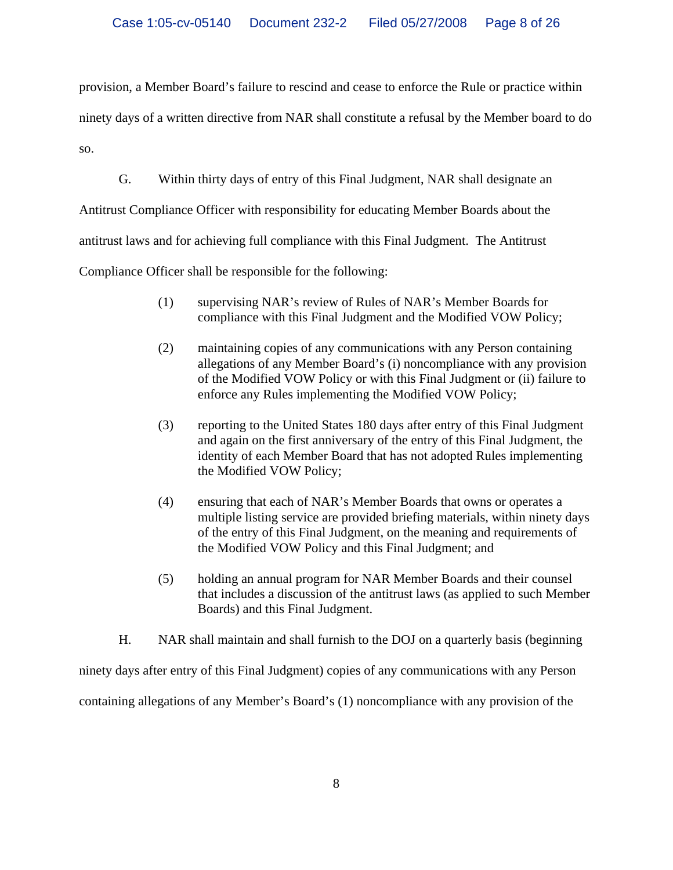provision, a Member Board's failure to rescind and cease to enforce the Rule or practice within ninety days of a written directive from NAR shall constitute a refusal by the Member board to do so.

G. Within thirty days of entry of this Final Judgment, NAR shall designate an

Antitrust Compliance Officer with responsibility for educating Member Boards about the

antitrust laws and for achieving full compliance with this Final Judgment. The Antitrust

Compliance Officer shall be responsible for the following:

- (1) supervising NAR's review of Rules of NAR's Member Boards for compliance with this Final Judgment and the Modified VOW Policy;
- (2) maintaining copies of any communications with any Person containing allegations of any Member Board's (i) noncompliance with any provision of the Modified VOW Policy or with this Final Judgment or (ii) failure to enforce any Rules implementing the Modified VOW Policy;
- (3) reporting to the United States 180 days after entry of this Final Judgment and again on the first anniversary of the entry of this Final Judgment, the identity of each Member Board that has not adopted Rules implementing the Modified VOW Policy;
- (4) ensuring that each of NAR's Member Boards that owns or operates a multiple listing service are provided briefing materials, within ninety days of the entry of this Final Judgment, on the meaning and requirements of the Modified VOW Policy and this Final Judgment; and
- (5) holding an annual program for NAR Member Boards and their counsel that includes a discussion of the antitrust laws (as applied to such Member Boards) and this Final Judgment.
- H. NAR shall maintain and shall furnish to the DOJ on a quarterly basis (beginning

ninety days after entry of this Final Judgment) copies of any communications with any Person containing allegations of any Member's Board's (1) noncompliance with any provision of the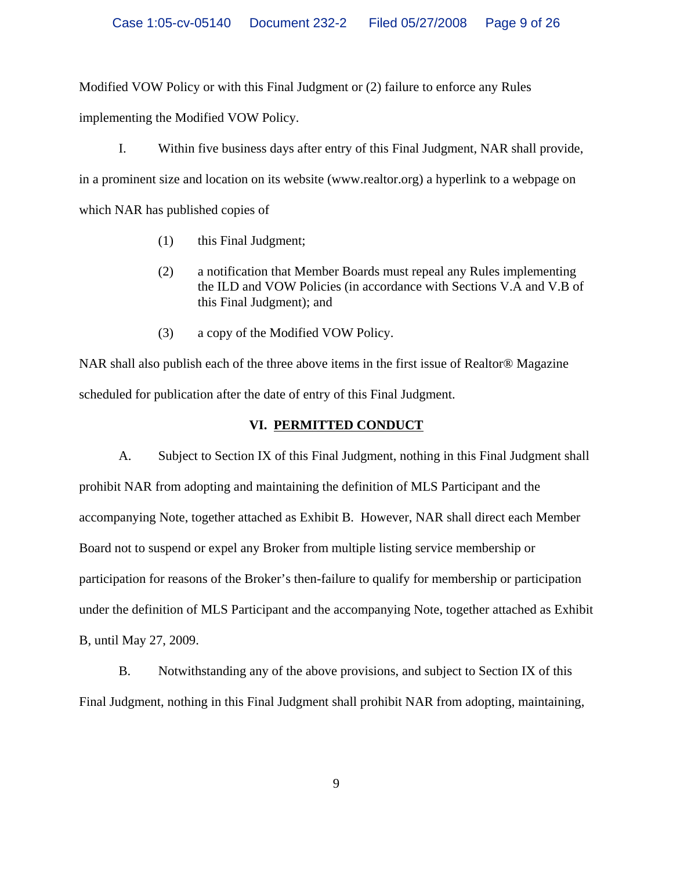Modified VOW Policy or with this Final Judgment or (2) failure to enforce any Rules

implementing the Modified VOW Policy.

I. Within five business days after entry of this Final Judgment, NAR shall provide, in a prominent size and location on its website (www.realtor.org) a hyperlink to a webpage on which NAR has published copies of

- (1) this Final Judgment;
- (2) a notification that Member Boards must repeal any Rules implementing the ILD and VOW Policies (in accordance with Sections V.A and V.B of this Final Judgment); and
- (3) a copy of the Modified VOW Policy.

NAR shall also publish each of the three above items in the first issue of Realtor® Magazine scheduled for publication after the date of entry of this Final Judgment.

#### **VI. PERMITTED CONDUCT**

A. Subject to Section IX of this Final Judgment, nothing in this Final Judgment shall prohibit NAR from adopting and maintaining the definition of MLS Participant and the accompanying Note, together attached as Exhibit B. However, NAR shall direct each Member Board not to suspend or expel any Broker from multiple listing service membership or participation for reasons of the Broker's then-failure to qualify for membership or participation under the definition of MLS Participant and the accompanying Note, together attached as Exhibit B, until May 27, 2009.

B. Notwithstanding any of the above provisions, and subject to Section IX of this Final Judgment, nothing in this Final Judgment shall prohibit NAR from adopting, maintaining,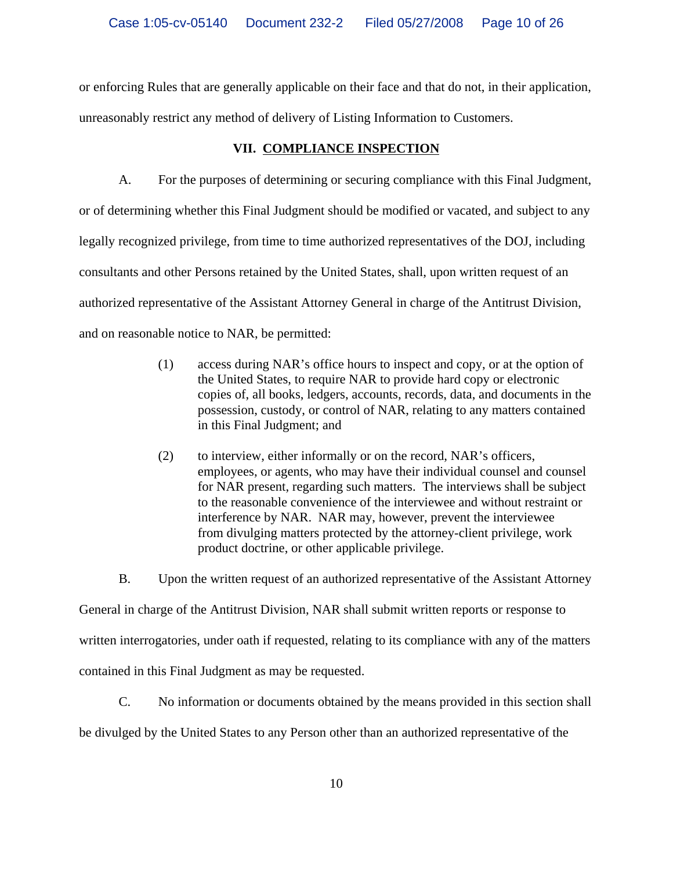or enforcing Rules that are generally applicable on their face and that do not, in their application, unreasonably restrict any method of delivery of Listing Information to Customers.

#### **VII. COMPLIANCE INSPECTION**

A. For the purposes of determining or securing compliance with this Final Judgment, or of determining whether this Final Judgment should be modified or vacated, and subject to any legally recognized privilege, from time to time authorized representatives of the DOJ, including consultants and other Persons retained by the United States, shall, upon written request of an authorized representative of the Assistant Attorney General in charge of the Antitrust Division, and on reasonable notice to NAR, be permitted:

- (1) access during NAR's office hours to inspect and copy, or at the option of the United States, to require NAR to provide hard copy or electronic copies of, all books, ledgers, accounts, records, data, and documents in the possession, custody, or control of NAR, relating to any matters contained in this Final Judgment; and
- (2) to interview, either informally or on the record, NAR's officers, employees, or agents, who may have their individual counsel and counsel for NAR present, regarding such matters. The interviews shall be subject to the reasonable convenience of the interviewee and without restraint or interference by NAR. NAR may, however, prevent the interviewee from divulging matters protected by the attorney-client privilege, work product doctrine, or other applicable privilege.

B. Upon the written request of an authorized representative of the Assistant Attorney General in charge of the Antitrust Division, NAR shall submit written reports or response to written interrogatories, under oath if requested, relating to its compliance with any of the matters contained in this Final Judgment as may be requested.

C. No information or documents obtained by the means provided in this section shall be divulged by the United States to any Person other than an authorized representative of the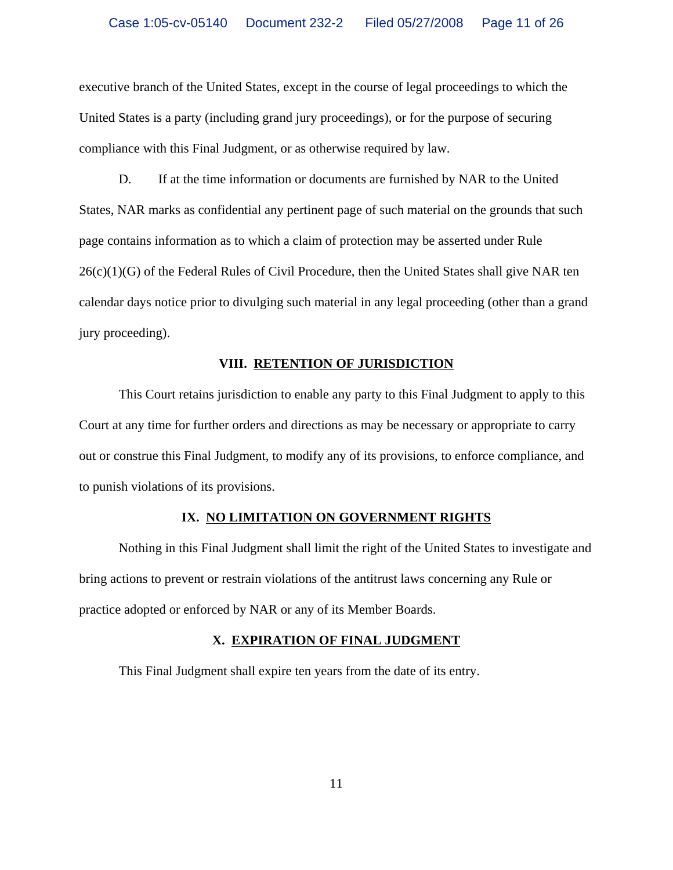executive branch of the United States, except in the course of legal proceedings to which the United States is a party (including grand jury proceedings), or for the purpose of securing compliance with this Final Judgment, or as otherwise required by law.

D. If at the time information or documents are furnished by NAR to the United States, NAR marks as confidential any pertinent page of such material on the grounds that such page contains information as to which a claim of protection may be asserted under Rule  $26(c)(1)(G)$  of the Federal Rules of Civil Procedure, then the United States shall give NAR ten calendar days notice prior to divulging such material in any legal proceeding (other than a grand jury proceeding).

#### **VIII. RETENTION OF JURISDICTION**

This Court retains jurisdiction to enable any party to this Final Judgment to apply to this Court at any time for further orders and directions as may be necessary or appropriate to carry out or construe this Final Judgment, to modify any of its provisions, to enforce compliance, and to punish violations of its provisions.

#### **IX. NO LIMITATION ON GOVERNMENT RIGHTS**

Nothing in this Final Judgment shall limit the right of the United States to investigate and bring actions to prevent or restrain violations of the antitrust laws concerning any Rule or practice adopted or enforced by NAR or any of its Member Boards.

#### **X. EXPIRATION OF FINAL JUDGMENT**

This Final Judgment shall expire ten years from the date of its entry.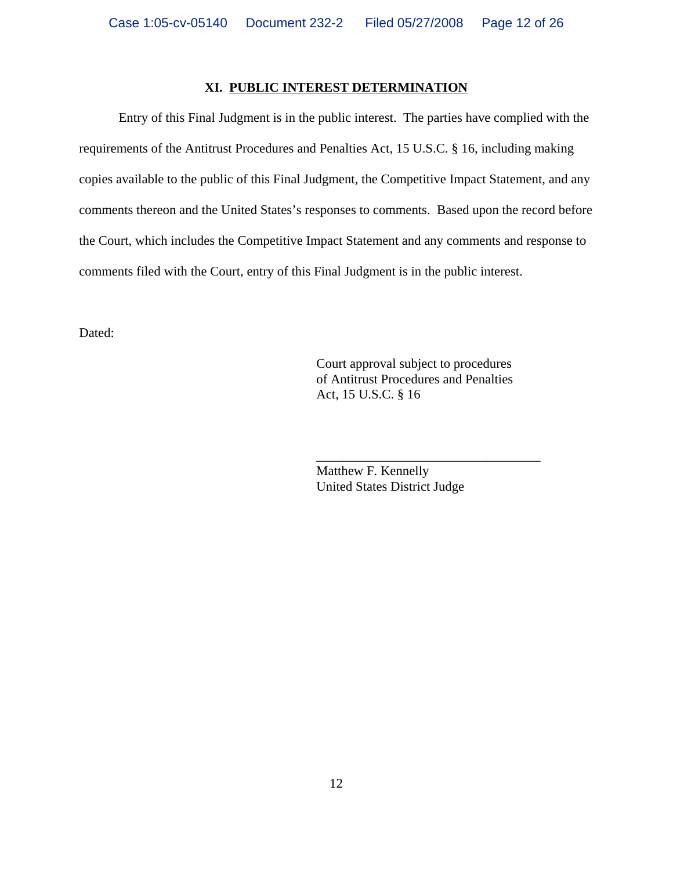#### **XI. PUBLIC INTEREST DETERMINATION**

Entry of this Final Judgment is in the public interest. The parties have complied with the requirements of the Antitrust Procedures and Penalties Act, 15 U.S.C. § 16, including making copies available to the public of this Final Judgment, the Competitive Impact Statement, and any comments thereon and the United States's responses to comments. Based upon the record before the Court, which includes the Competitive Impact Statement and any comments and response to comments filed with the Court, entry of this Final Judgment is in the public interest.

Dated:

Court approval subject to procedures of Antitrust Procedures and Penalties Act, 15 U.S.C. § 16

\_\_\_\_\_\_\_\_\_\_\_\_\_\_\_\_\_\_\_\_\_\_\_\_\_\_\_\_\_\_\_\_\_\_

Matthew F. Kennelly United States District Judge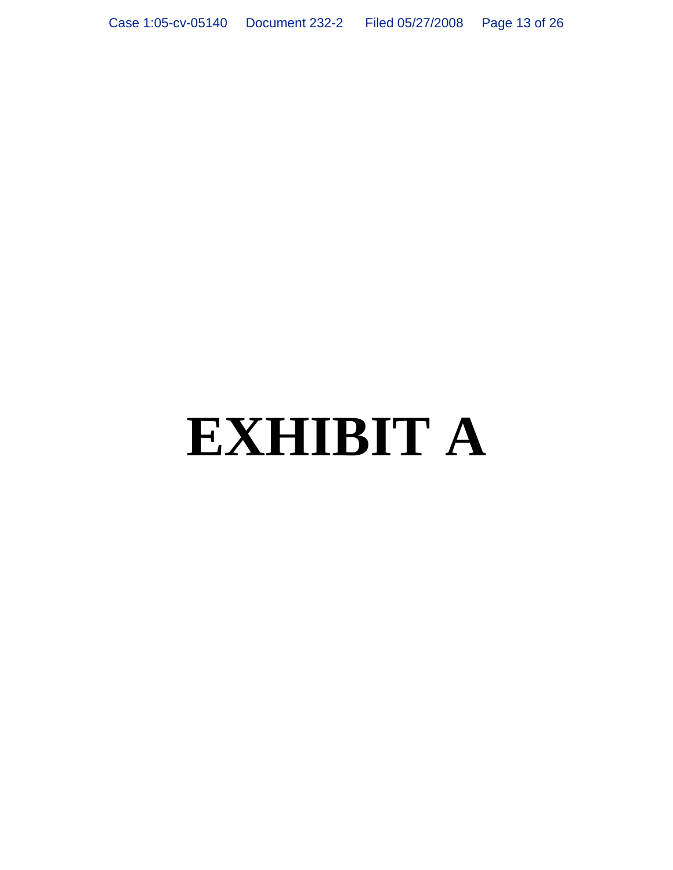# **EXHIBIT A**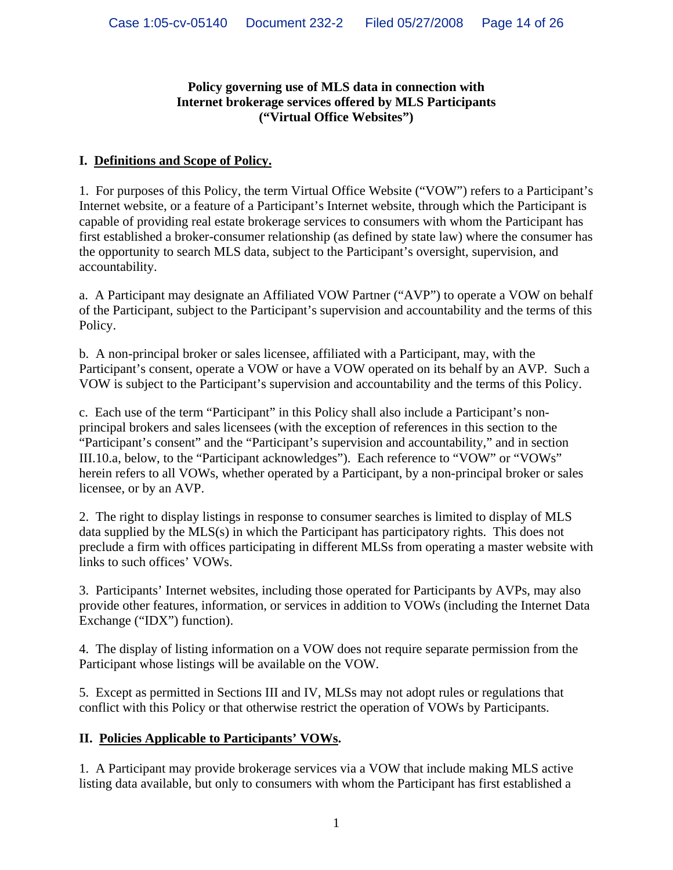#### **Policy governing use of MLS data in connection with Internet brokerage services offered by MLS Participants ("Virtual Office Websites")**

### **I. Definitions and Scope of Policy.**

1. For purposes of this Policy, the term Virtual Office Website ("VOW") refers to a Participant's Internet website, or a feature of a Participant's Internet website, through which the Participant is capable of providing real estate brokerage services to consumers with whom the Participant has first established a broker-consumer relationship (as defined by state law) where the consumer has the opportunity to search MLS data, subject to the Participant's oversight, supervision, and accountability.

a. A Participant may designate an Affiliated VOW Partner ("AVP") to operate a VOW on behalf of the Participant, subject to the Participant's supervision and accountability and the terms of this Policy.

b. A non-principal broker or sales licensee, affiliated with a Participant, may, with the Participant's consent, operate a VOW or have a VOW operated on its behalf by an AVP. Such a VOW is subject to the Participant's supervision and accountability and the terms of this Policy.

c. Each use of the term "Participant" in this Policy shall also include a Participant's nonprincipal brokers and sales licensees (with the exception of references in this section to the "Participant's consent" and the "Participant's supervision and accountability," and in section III.10.a, below, to the "Participant acknowledges"). Each reference to "VOW" or "VOWs" herein refers to all VOWs, whether operated by a Participant, by a non-principal broker or sales licensee, or by an AVP.

2. The right to display listings in response to consumer searches is limited to display of MLS data supplied by the MLS(s) in which the Participant has participatory rights. This does not preclude a firm with offices participating in different MLSs from operating a master website with links to such offices' VOWs.

3. Participants' Internet websites, including those operated for Participants by AVPs, may also provide other features, information, or services in addition to VOWs (including the Internet Data Exchange ("IDX") function).

Participant whose listings will be available on the VOW. 4. The display of listing information on a VOW does not require separate permission from the

5. Except as permitted in Sections III and IV, MLSs may not adopt rules or regulations that conflict with this Policy or that otherwise restrict the operation of VOWs by Participants.

### **II. Policies Applicable to Participants' VOWs.**

1. A Participant may provide brokerage services via a VOW that include making MLS active listing data available, but only to consumers with whom the Participant has first established a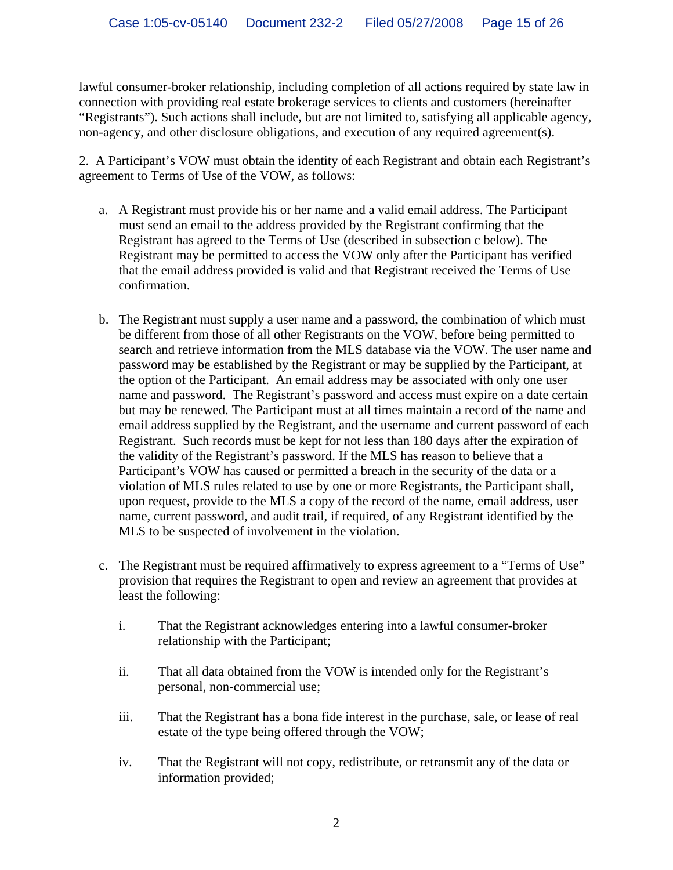lawful consumer-broker relationship, including completion of all actions required by state law in connection with providing real estate brokerage services to clients and customers (hereinafter "Registrants"). Such actions shall include, but are not limited to, satisfying all applicable agency, non-agency, and other disclosure obligations, and execution of any required agreement(s).

2. A Participant's VOW must obtain the identity of each Registrant and obtain each Registrant's agreement to Terms of Use of the VOW, as follows:

- a. A Registrant must provide his or her name and a valid email address. The Participant must send an email to the address provided by the Registrant confirming that the Registrant has agreed to the Terms of Use (described in subsection c below). The Registrant may be permitted to access the VOW only after the Participant has verified that the email address provided is valid and that Registrant received the Terms of Use confirmation.
- b. The Registrant must supply a user name and a password, the combination of which must be different from those of all other Registrants on the VOW, before being permitted to search and retrieve information from the MLS database via the VOW. The user name and password may be established by the Registrant or may be supplied by the Participant, at the option of the Participant. An email address may be associated with only one user name and password. The Registrant's password and access must expire on a date certain but may be renewed. The Participant must at all times maintain a record of the name and email address supplied by the Registrant, and the username and current password of each Registrant. Such records must be kept for not less than 180 days after the expiration of the validity of the Registrant's password. If the MLS has reason to believe that a Participant's VOW has caused or permitted a breach in the security of the data or a violation of MLS rules related to use by one or more Registrants, the Participant shall, upon request, provide to the MLS a copy of the record of the name, email address, user name, current password, and audit trail, if required, of any Registrant identified by the MLS to be suspected of involvement in the violation.
- c. The Registrant must be required affirmatively to express agreement to a "Terms of Use" provision that requires the Registrant to open and review an agreement that provides at least the following:
	- i. That the Registrant acknowledges entering into a lawful consumer-broker relationship with the Participant;
	- ii. That all data obtained from the VOW is intended only for the Registrant's personal, non-commercial use;
	- iii. That the Registrant has a bona fide interest in the purchase, sale, or lease of real estate of the type being offered through the VOW;
	- iv. That the Registrant will not copy, redistribute, or retransmit any of the data or information provided;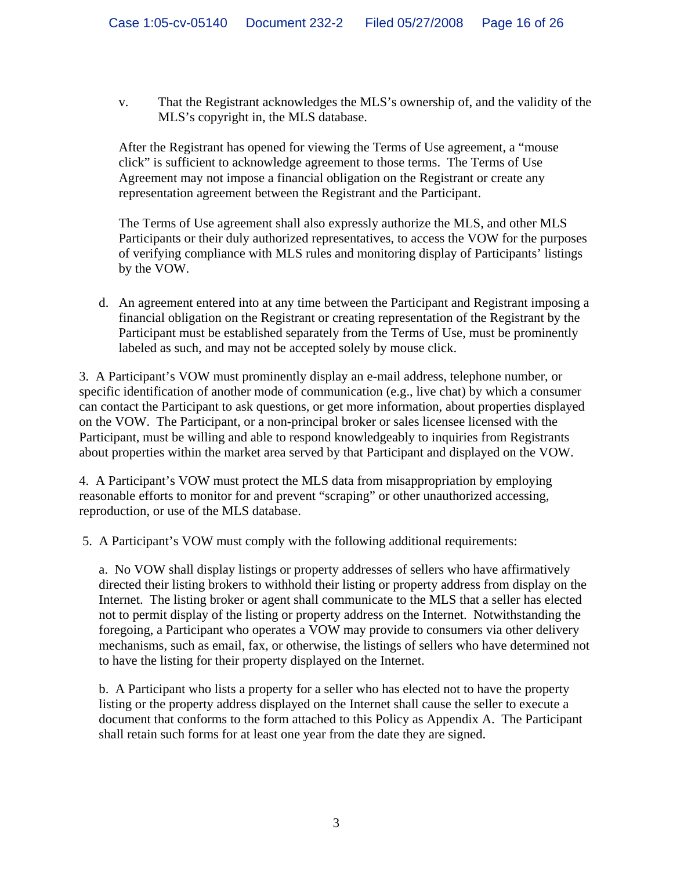v. That the Registrant acknowledges the MLS's ownership of, and the validity of the MLS's copyright in, the MLS database.

After the Registrant has opened for viewing the Terms of Use agreement, a "mouse click" is sufficient to acknowledge agreement to those terms. The Terms of Use Agreement may not impose a financial obligation on the Registrant or create any representation agreement between the Registrant and the Participant.

The Terms of Use agreement shall also expressly authorize the MLS, and other MLS Participants or their duly authorized representatives, to access the VOW for the purposes of verifying compliance with MLS rules and monitoring display of Participants' listings by the VOW.

d. An agreement entered into at any time between the Participant and Registrant imposing a financial obligation on the Registrant or creating representation of the Registrant by the Participant must be established separately from the Terms of Use, must be prominently labeled as such, and may not be accepted solely by mouse click.

3. A Participant's VOW must prominently display an e-mail address, telephone number, or specific identification of another mode of communication (e.g., live chat) by which a consumer can contact the Participant to ask questions, or get more information, about properties displayed on the VOW. The Participant, or a non-principal broker or sales licensee licensed with the Participant, must be willing and able to respond knowledgeably to inquiries from Registrants about properties within the market area served by that Participant and displayed on the VOW.

4. A Participant's VOW must protect the MLS data from misappropriation by employing reasonable efforts to monitor for and prevent "scraping" or other unauthorized accessing, reproduction, or use of the MLS database.

5. A Participant's VOW must comply with the following additional requirements:

a. No VOW shall display listings or property addresses of sellers who have affirmatively directed their listing brokers to withhold their listing or property address from display on the Internet. The listing broker or agent shall communicate to the MLS that a seller has elected not to permit display of the listing or property address on the Internet. Notwithstanding the foregoing, a Participant who operates a VOW may provide to consumers via other delivery mechanisms, such as email, fax, or otherwise, the listings of sellers who have determined not to have the listing for their property displayed on the Internet.

b. A Participant who lists a property for a seller who has elected not to have the property listing or the property address displayed on the Internet shall cause the seller to execute a document that conforms to the form attached to this Policy as Appendix A. The Participant shall retain such forms for at least one year from the date they are signed.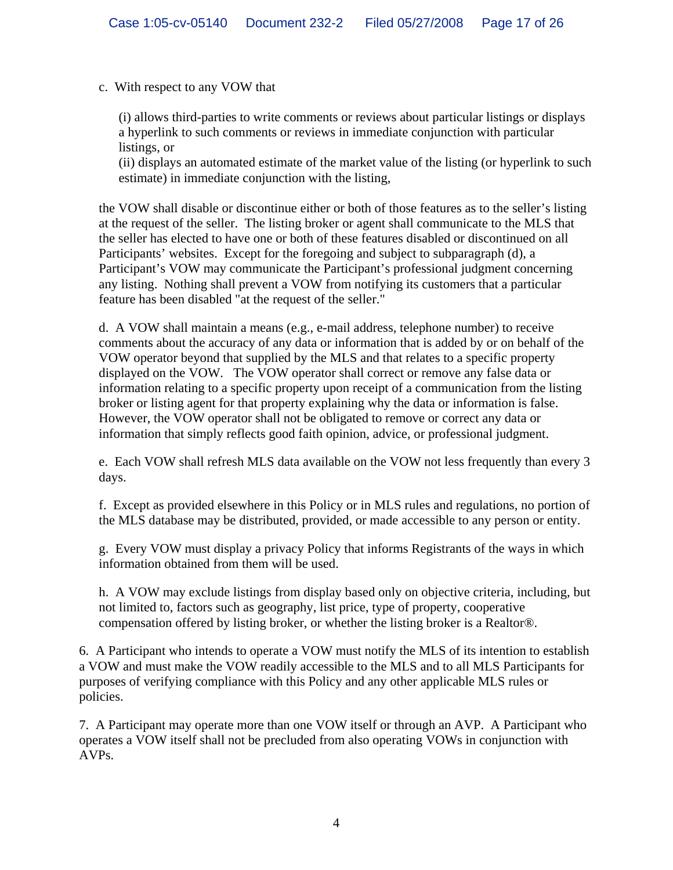c. With respect to any VOW that

(i) allows third-parties to write comments or reviews about particular listings or displays a hyperlink to such comments or reviews in immediate conjunction with particular listings, or

(ii) displays an automated estimate of the market value of the listing (or hyperlink to such estimate) in immediate conjunction with the listing,

the VOW shall disable or discontinue either or both of those features as to the seller's listing at the request of the seller. The listing broker or agent shall communicate to the MLS that the seller has elected to have one or both of these features disabled or discontinued on all Participants' websites. Except for the foregoing and subject to subparagraph (d), a Participant's VOW may communicate the Participant's professional judgment concerning any listing. Nothing shall prevent a VOW from notifying its customers that a particular feature has been disabled "at the request of the seller."

d. A VOW shall maintain a means (e.g., e-mail address, telephone number) to receive comments about the accuracy of any data or information that is added by or on behalf of the VOW operator beyond that supplied by the MLS and that relates to a specific property displayed on the VOW. The VOW operator shall correct or remove any false data or information relating to a specific property upon receipt of a communication from the listing broker or listing agent for that property explaining why the data or information is false. However, the VOW operator shall not be obligated to remove or correct any data or information that simply reflects good faith opinion, advice, or professional judgment.

e. Each VOW shall refresh MLS data available on the VOW not less frequently than every 3 days.

f. Except as provided elsewhere in this Policy or in MLS rules and regulations, no portion of the MLS database may be distributed, provided, or made accessible to any person or entity.

g. Every VOW must display a privacy Policy that informs Registrants of the ways in which information obtained from them will be used.

h. A VOW may exclude listings from display based only on objective criteria, including, but not limited to, factors such as geography, list price, type of property, cooperative compensation offered by listing broker, or whether the listing broker is a Realtor®.

6. A Participant who intends to operate a VOW must notify the MLS of its intention to establish a VOW and must make the VOW readily accessible to the MLS and to all MLS Participants for purposes of verifying compliance with this Policy and any other applicable MLS rules or policies.

7. A Participant may operate more than one VOW itself or through an AVP. A Participant who operates a VOW itself shall not be precluded from also operating VOWs in conjunction with AVPs.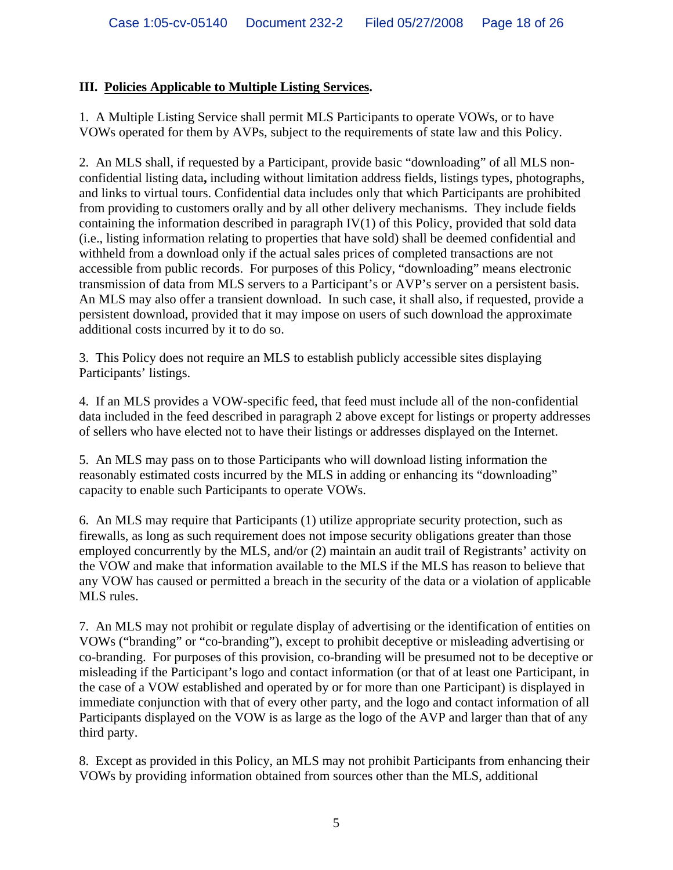### **III. Policies Applicable to Multiple Listing Services.**

1. A Multiple Listing Service shall permit MLS Participants to operate VOWs, or to have VOWs operated for them by AVPs, subject to the requirements of state law and this Policy.

2. An MLS shall, if requested by a Participant, provide basic "downloading" of all MLS nonconfidential listing data**,** including without limitation address fields, listings types, photographs, and links to virtual tours. Confidential data includes only that which Participants are prohibited from providing to customers orally and by all other delivery mechanisms. They include fields containing the information described in paragraph IV(1) of this Policy, provided that sold data (i.e., listing information relating to properties that have sold) shall be deemed confidential and withheld from a download only if the actual sales prices of completed transactions are not accessible from public records. For purposes of this Policy, "downloading" means electronic transmission of data from MLS servers to a Participant's or AVP's server on a persistent basis. An MLS may also offer a transient download. In such case, it shall also, if requested, provide a persistent download, provided that it may impose on users of such download the approximate additional costs incurred by it to do so.

3. This Policy does not require an MLS to establish publicly accessible sites displaying Participants' listings.

4. If an MLS provides a VOW-specific feed, that feed must include all of the non-confidential data included in the feed described in paragraph 2 above except for listings or property addresses of sellers who have elected not to have their listings or addresses displayed on the Internet.

5. An MLS may pass on to those Participants who will download listing information the reasonably estimated costs incurred by the MLS in adding or enhancing its "downloading" capacity to enable such Participants to operate VOWs.

6. An MLS may require that Participants (1) utilize appropriate security protection, such as firewalls, as long as such requirement does not impose security obligations greater than those employed concurrently by the MLS, and/or (2) maintain an audit trail of Registrants' activity on the VOW and make that information available to the MLS if the MLS has reason to believe that any VOW has caused or permitted a breach in the security of the data or a violation of applicable MLS rules.

7. An MLS may not prohibit or regulate display of advertising or the identification of entities on VOWs ("branding" or "co-branding"), except to prohibit deceptive or misleading advertising or co-branding. For purposes of this provision, co-branding will be presumed not to be deceptive or misleading if the Participant's logo and contact information (or that of at least one Participant, in the case of a VOW established and operated by or for more than one Participant) is displayed in immediate conjunction with that of every other party, and the logo and contact information of all Participants displayed on the VOW is as large as the logo of the AVP and larger than that of any third party.

8. Except as provided in this Policy, an MLS may not prohibit Participants from enhancing their VOWs by providing information obtained from sources other than the MLS, additional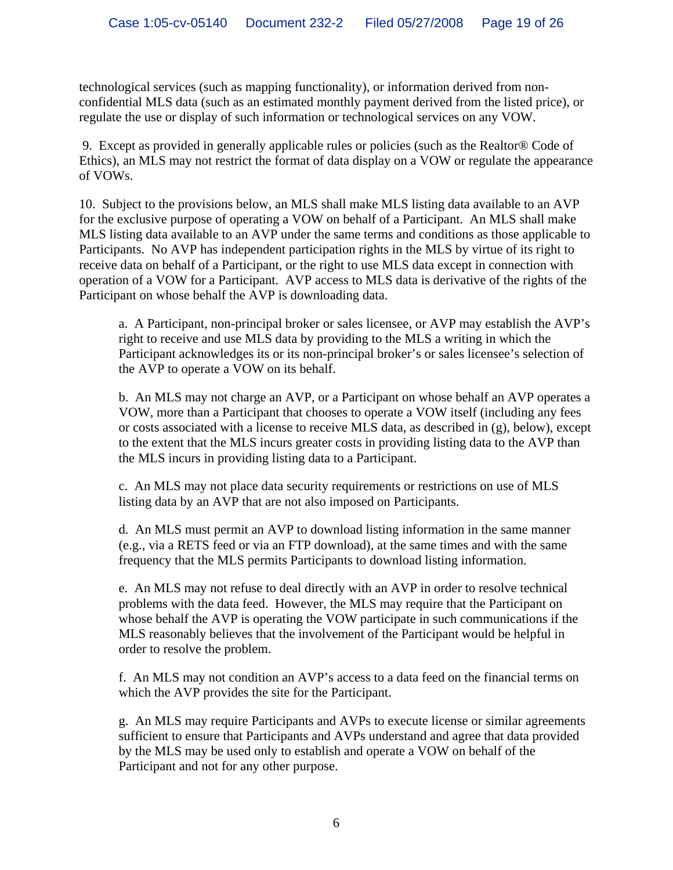technological services (such as mapping functionality), or information derived from nonconfidential MLS data (such as an estimated monthly payment derived from the listed price), or regulate the use or display of such information or technological services on any VOW.

 9. Except as provided in generally applicable rules or policies (such as the Realtor® Code of Ethics), an MLS may not restrict the format of data display on a VOW or regulate the appearance of VOWs.

10. Subject to the provisions below, an MLS shall make MLS listing data available to an AVP for the exclusive purpose of operating a VOW on behalf of a Participant. An MLS shall make MLS listing data available to an AVP under the same terms and conditions as those applicable to Participants. No AVP has independent participation rights in the MLS by virtue of its right to receive data on behalf of a Participant, or the right to use MLS data except in connection with operation of a VOW for a Participant. AVP access to MLS data is derivative of the rights of the Participant on whose behalf the AVP is downloading data.

a. A Participant, non-principal broker or sales licensee, or AVP may establish the AVP's right to receive and use MLS data by providing to the MLS a writing in which the Participant acknowledges its or its non-principal broker's or sales licensee's selection of the AVP to operate a VOW on its behalf.

b. An MLS may not charge an AVP, or a Participant on whose behalf an AVP operates a VOW, more than a Participant that chooses to operate a VOW itself (including any fees or costs associated with a license to receive MLS data, as described in (g), below), except to the extent that the MLS incurs greater costs in providing listing data to the AVP than the MLS incurs in providing listing data to a Participant.

c. An MLS may not place data security requirements or restrictions on use of MLS listing data by an AVP that are not also imposed on Participants.

d. An MLS must permit an AVP to download listing information in the same manner (e.g., via a RETS feed or via an FTP download), at the same times and with the same frequency that the MLS permits Participants to download listing information.

e. An MLS may not refuse to deal directly with an AVP in order to resolve technical problems with the data feed. However, the MLS may require that the Participant on whose behalf the AVP is operating the VOW participate in such communications if the MLS reasonably believes that the involvement of the Participant would be helpful in order to resolve the problem.

f. An MLS may not condition an AVP's access to a data feed on the financial terms on which the AVP provides the site for the Participant.

g. An MLS may require Participants and AVPs to execute license or similar agreements sufficient to ensure that Participants and AVPs understand and agree that data provided by the MLS may be used only to establish and operate a VOW on behalf of the Participant and not for any other purpose.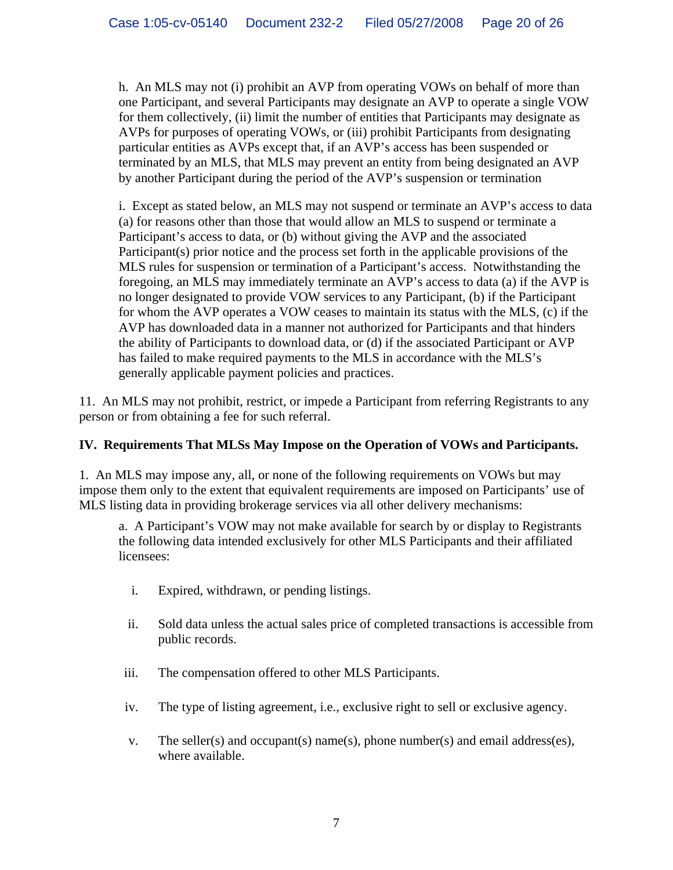h. An MLS may not (i) prohibit an AVP from operating VOWs on behalf of more than one Participant, and several Participants may designate an AVP to operate a single VOW for them collectively, (ii) limit the number of entities that Participants may designate as AVPs for purposes of operating VOWs, or (iii) prohibit Participants from designating particular entities as AVPs except that, if an AVP's access has been suspended or terminated by an MLS, that MLS may prevent an entity from being designated an AVP by another Participant during the period of the AVP's suspension or termination

i. Except as stated below, an MLS may not suspend or terminate an AVP's access to data (a) for reasons other than those that would allow an MLS to suspend or terminate a Participant's access to data, or (b) without giving the AVP and the associated Participant(s) prior notice and the process set forth in the applicable provisions of the MLS rules for suspension or termination of a Participant's access. Notwithstanding the foregoing, an MLS may immediately terminate an AVP's access to data (a) if the AVP is no longer designated to provide VOW services to any Participant, (b) if the Participant for whom the AVP operates a VOW ceases to maintain its status with the MLS, (c) if the AVP has downloaded data in a manner not authorized for Participants and that hinders the ability of Participants to download data, or (d) if the associated Participant or AVP has failed to make required payments to the MLS in accordance with the MLS's generally applicable payment policies and practices.

11. An MLS may not prohibit, restrict, or impede a Participant from referring Registrants to any person or from obtaining a fee for such referral.

### **IV. Requirements That MLSs May Impose on the Operation of VOWs and Participants.**

1. An MLS may impose any, all, or none of the following requirements on VOWs but may impose them only to the extent that equivalent requirements are imposed on Participants' use of MLS listing data in providing brokerage services via all other delivery mechanisms:

a. A Participant's VOW may not make available for search by or display to Registrants the following data intended exclusively for other MLS Participants and their affiliated licensees:

- i. Expired, withdrawn, or pending listings.
- ii. Sold data unless the actual sales price of completed transactions is accessible from public records.
- iii. The compensation offered to other MLS Participants.
- iv. The type of listing agreement, i.e., exclusive right to sell or exclusive agency.
- v. The seller(s) and occupant(s) name(s), phone number(s) and email address(es), where available.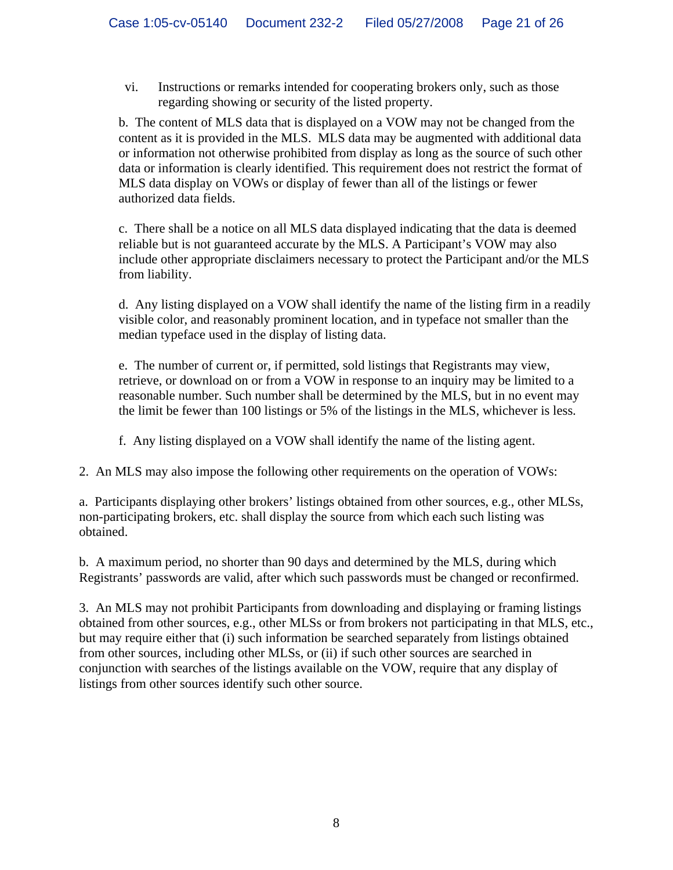vi. Instructions or remarks intended for cooperating brokers only, such as those regarding showing or security of the listed property.

b. The content of MLS data that is displayed on a VOW may not be changed from the content as it is provided in the MLS. MLS data may be augmented with additional data or information not otherwise prohibited from display as long as the source of such other data or information is clearly identified. This requirement does not restrict the format of MLS data display on VOWs or display of fewer than all of the listings or fewer authorized data fields.

c. There shall be a notice on all MLS data displayed indicating that the data is deemed reliable but is not guaranteed accurate by the MLS. A Participant's VOW may also include other appropriate disclaimers necessary to protect the Participant and/or the MLS from liability.

d. Any listing displayed on a VOW shall identify the name of the listing firm in a readily visible color, and reasonably prominent location, and in typeface not smaller than the median typeface used in the display of listing data.

e. The number of current or, if permitted, sold listings that Registrants may view, retrieve, or download on or from a VOW in response to an inquiry may be limited to a reasonable number. Such number shall be determined by the MLS, but in no event may the limit be fewer than 100 listings or 5% of the listings in the MLS, whichever is less.

f. Any listing displayed on a VOW shall identify the name of the listing agent.

2. An MLS may also impose the following other requirements on the operation of VOWs:

a. Participants displaying other brokers' listings obtained from other sources, e.g., other MLSs, non-participating brokers, etc. shall display the source from which each such listing was obtained.

b. A maximum period, no shorter than 90 days and determined by the MLS, during which Registrants' passwords are valid, after which such passwords must be changed or reconfirmed.

3. An MLS may not prohibit Participants from downloading and displaying or framing listings obtained from other sources, e.g., other MLSs or from brokers not participating in that MLS, etc., but may require either that (i) such information be searched separately from listings obtained from other sources, including other MLSs, or (ii) if such other sources are searched in conjunction with searches of the listings available on the VOW, require that any display of listings from other sources identify such other source.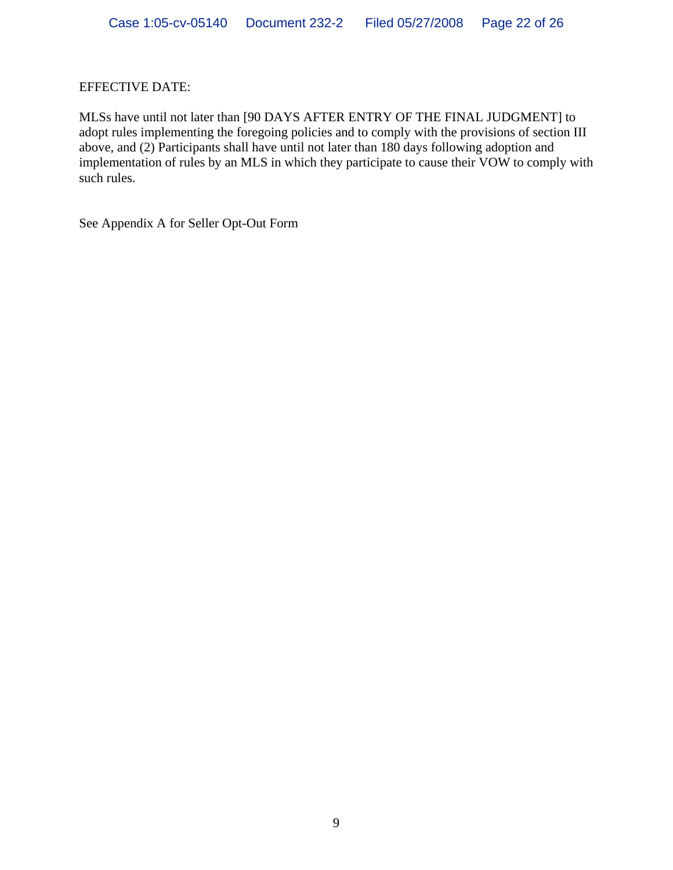EFFECTIVE DATE:

MLSs have until not later than [90 DAYS AFTER ENTRY OF THE FINAL JUDGMENT] to adopt rules implementing the foregoing policies and to comply with the provisions of section III above, and (2) Participants shall have until not later than 180 days following adoption and implementation of rules by an MLS in which they participate to cause their VOW to comply with such rules.

See Appendix A for Seller Opt-Out Form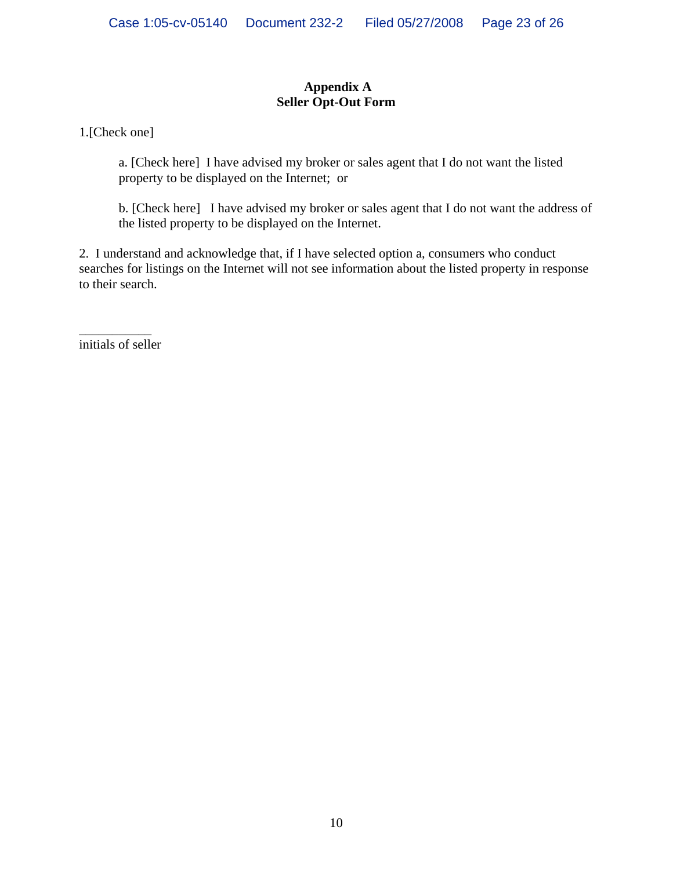#### **Appendix A Seller Opt-Out Form**

1.[Check one]

a. [Check here] I have advised my broker or sales agent that I do not want the listed property to be displayed on the Internet; or

the listed property to be displayed on the Internet. b. [Check here] I have advised my broker or sales agent that I do not want the address of

2. I understand and acknowledge that, if I have selected option a, consumers who conduct searches for listings on the Internet will not see information about the listed property in response to their search.

\_\_\_\_\_\_\_\_\_\_\_ initials of seller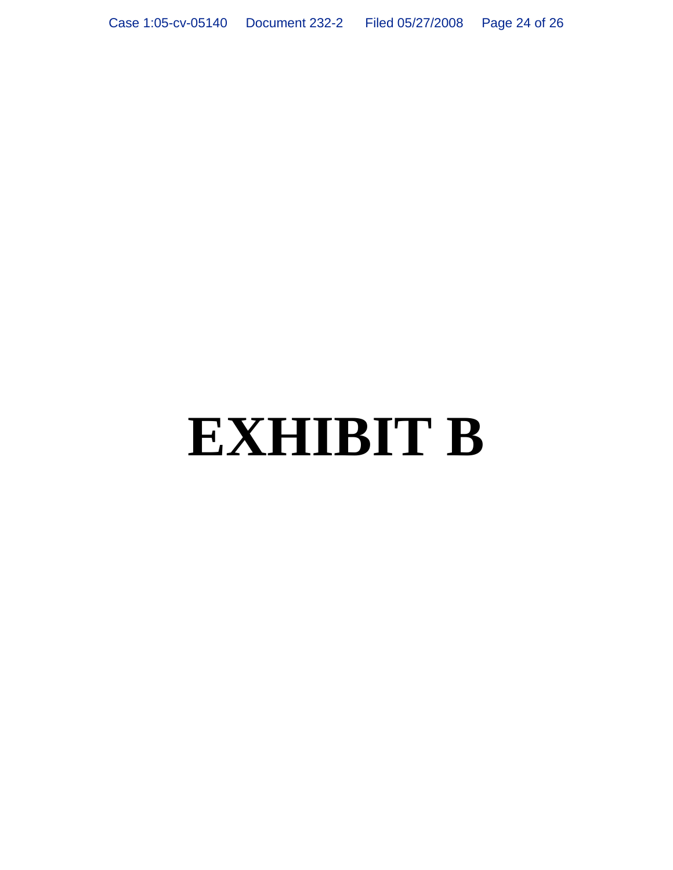# **EXHIBIT B**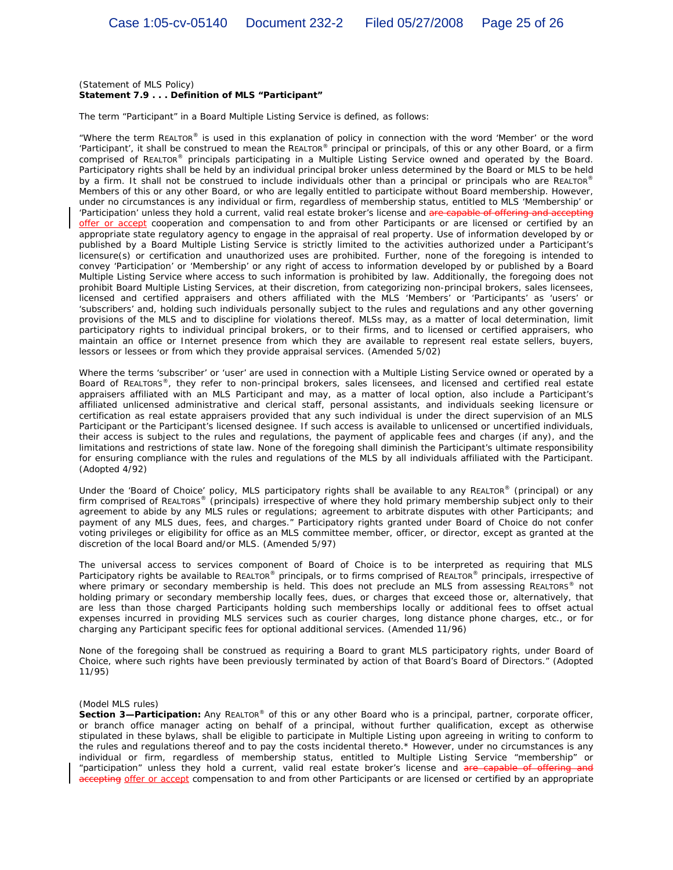#### (Statement of MLS Policy) **Statement 7.9 . . . Definition of MLS "Participant"**

The term "Participant" in a Board Multiple Listing Service is defined, as follows:

"Where the term REALTOR® is used in this explanation of policy in connection with the word 'Member' or the word 'Participant', it shall be construed to mean the REALTOR® principal or principals, of this or any other Board, or a firm comprised of REALTOR® principals participating in a Multiple Listing Service owned and operated by the Board. Participatory rights shall be held by an individual principal broker unless determined by the Board or MLS to be held by a firm. It shall not be construed to include individuals other than a principal or principals who are REALTOR® Members of this or any other Board, or who are legally entitled to participate without Board membership. However, under no circumstances is any individual or firm, regardless of membership status, entitled to MLS 'Membership' or 'Participation' unless they hold a current, valid real estate broker's license and are capable of offering and accepting offer or accept cooperation and compensation to and from other Participants or are licensed or certified by an appropriate state regulatory agency to engage in the appraisal of real property. Use of information developed by or published by a Board Multiple Listing Service is strictly limited to the activities authorized under a Participant's licensure(s) or certification and unauthorized uses are prohibited. Further, none of the foregoing is intended to convey 'Participation' or 'Membership' or any right of access to information developed by or published by a Board Multiple Listing Service where access to such information is prohibited by law. Additionally, the foregoing does not prohibit Board Multiple Listing Services, at their discretion, from categorizing non-principal brokers, sales licensees, licensed and certified appraisers and others affiliated with the MLS 'Members' or 'Participants' as 'users' or 'subscribers' and, holding such individuals personally subject to the rules and regulations and any other governing provisions of the MLS and to discipline for violations thereof. MLSs may, as a matter of local determination, limit participatory rights to individual principal brokers, or to their firms, and to licensed or certified appraisers, who maintain an office or Internet presence from which they are available to represent real estate sellers, buyers, lessors or lessees or from which they provide appraisal services. (Amended 5/02)

 Where the terms 'subscriber' or 'user' are used in connection with a Multiple Listing Service owned or operated by a Board of REALTORS®, they refer to non-principal brokers, sales licensees, and licensed and certified real estate appraisers affiliated with an MLS Participant and may, as a matter of local option, also include a Participant's affiliated unlicensed administrative and clerical staff, personal assistants, and individuals seeking licensure or certification as real estate appraisers provided that any such individual is under the direct supervision of an MLS Participant or the Participant's licensed designee. If such access is available to unlicensed or uncertified individuals, their access is subject to the rules and regulations, the payment of applicable fees and charges (if any), and the limitations and restrictions of state law. None of the foregoing shall diminish the Participant's ultimate responsibility for ensuring compliance with the rules and regulations of the MLS by all individuals affiliated with the Participant. (Adopted 4/92)

Under the 'Board of Choice' policy, MLS participatory rights shall be available to any REALTOR® (principal) or any firm comprised of REALTORS® (principals) irrespective of where they hold primary membership subject only to their agreement to abide by any MLS rules or regulations; agreement to arbitrate disputes with other Participants; and payment of any MLS dues, fees, and charges." Participatory rights granted under Board of Choice do not confer voting privileges or eligibility for office as an MLS committee member, officer, or director, except as granted at the discretion of the local Board and/or MLS. (Amended 5/97)

The universal access to services component of Board of Choice is to be interpreted as requiring that MLS Participatory rights be available to REALTOR® principals, or to firms comprised of REALTOR® principals, irrespective of where primary or secondary membership is held. This does not preclude an MLS from assessing REALTORS® not holding primary or secondary membership locally fees, dues, or charges that exceed those or, alternatively, that are less than those charged Participants holding such memberships locally or additional fees to offset actual expenses incurred in providing MLS services such as courier charges, long distance phone charges, etc., or for charging any Participant specific fees for optional additional services. (Amended 11/96)

None of the foregoing shall be construed as requiring a Board to grant MLS participatory rights, under Board of Choice, where such rights have been previously terminated by action of that Board's Board of Directors." (Adopted 11/95)

#### (Model MLS rules)

**Section 3—Participation:** Any REALTOR® of this or any other Board who is a principal, partner, corporate officer, or branch office manager acting on behalf of a principal, without further qualification, except as otherwise stipulated in these bylaws, shall be eligible to participate in Multiple Listing upon agreeing in writing to conform to the rules and regulations thereof and to pay the costs incidental thereto.\* However, under no circumstances is any individual or firm, regardless of membership status, entitled to Multiple Listing Service "membership" or "participation" unless they hold a current, valid real estate broker's license and are capable of offering and accepting offer or accept compensation to and from other Participants or are licensed or certified by an appropriate